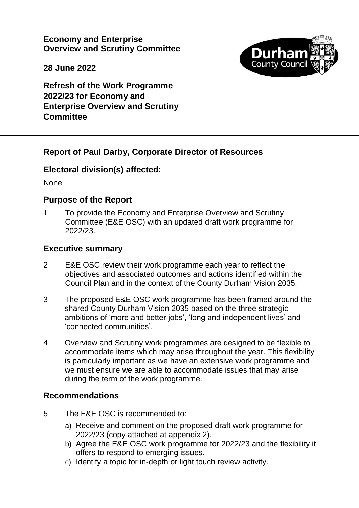**Economy and Enterprise Overview and Scrutiny Committee**



**28 June 2022**

**Refresh of the Work Programme 2022/23 for Economy and Enterprise Overview and Scrutiny Committee**

# **Report of Paul Darby, Corporate Director of Resources**

# **Electoral division(s) affected:**

None

### **Purpose of the Report**

1 To provide the Economy and Enterprise Overview and Scrutiny Committee (E&E OSC) with an updated draft work programme for 2022/23.

### **Executive summary**

- 2 E&E OSC review their work programme each year to reflect the objectives and associated outcomes and actions identified within the Council Plan and in the context of the County Durham Vision 2035.
- 3 The proposed E&E OSC work programme has been framed around the shared County Durham Vision 2035 based on the three strategic ambitions of 'more and better jobs', 'long and independent lives' and 'connected communities'.
- 4 Overview and Scrutiny work programmes are designed to be flexible to accommodate items which may arise throughout the year. This flexibility is particularly important as we have an extensive work programme and we must ensure we are able to accommodate issues that may arise during the term of the work programme.

### **Recommendations**

- 5 The E&E OSC is recommended to:
	- a) Receive and comment on the proposed draft work programme for 2022/23 (copy attached at appendix 2).
	- b) Agree the E&E OSC work programme for 2022/23 and the flexibility it offers to respond to emerging issues.
	- c) Identify a topic for in-depth or light touch review activity.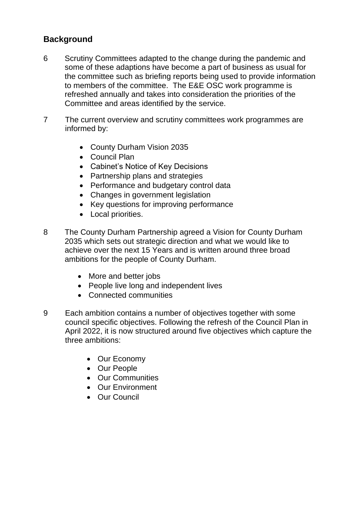# **Background**

- 6 Scrutiny Committees adapted to the change during the pandemic and some of these adaptions have become a part of business as usual for the committee such as briefing reports being used to provide information to members of the committee. The E&E OSC work programme is refreshed annually and takes into consideration the priorities of the Committee and areas identified by the service.
- 7 The current overview and scrutiny committees work programmes are informed by:
	- County Durham Vision 2035
	- Council Plan
	- Cabinet's Notice of Key Decisions
	- Partnership plans and strategies
	- Performance and budgetary control data
	- Changes in government legislation
	- Key questions for improving performance
	- Local priorities.
- 8 The County Durham Partnership agreed a Vision for County Durham 2035 which sets out strategic direction and what we would like to achieve over the next 15 Years and is written around three broad ambitions for the people of County Durham.
	- More and better jobs
	- People live long and independent lives
	- Connected communities
- 9 Each ambition contains a number of objectives together with some council specific objectives. Following the refresh of the Council Plan in April 2022, it is now structured around five objectives which capture the three ambitions:
	- Our Economy
	- Our People
	- Our Communities
	- Our Environment
	- Our Council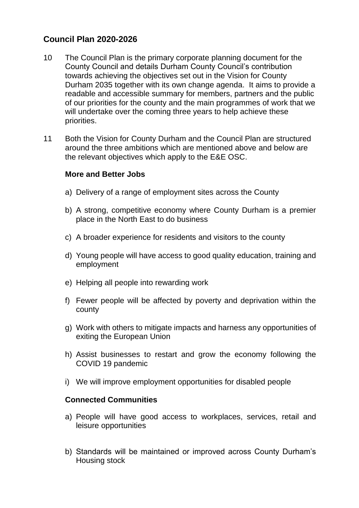# **Council Plan 2020-2026**

- 10 The Council Plan is the primary corporate planning document for the County Council and details Durham County Council's contribution towards achieving the objectives set out in the Vision for County Durham 2035 together with its own change agenda. It aims to provide a readable and accessible summary for members, partners and the public of our priorities for the county and the main programmes of work that we will undertake over the coming three years to help achieve these priorities.
- 11 Both the Vision for County Durham and the Council Plan are structured around the three ambitions which are mentioned above and below are the relevant objectives which apply to the E&E OSC.

#### **More and Better Jobs**

- a) Delivery of a range of employment sites across the County
- b) A strong, competitive economy where County Durham is a premier place in the North East to do business
- c) A broader experience for residents and visitors to the county
- d) Young people will have access to good quality education, training and employment
- e) Helping all people into rewarding work
- f) Fewer people will be affected by poverty and deprivation within the county
- g) Work with others to mitigate impacts and harness any opportunities of exiting the European Union
- h) Assist businesses to restart and grow the economy following the COVID 19 pandemic
- i) We will improve employment opportunities for disabled people

### **Connected Communities**

- a) People will have good access to workplaces, services, retail and leisure opportunities
- b) Standards will be maintained or improved across County Durham's Housing stock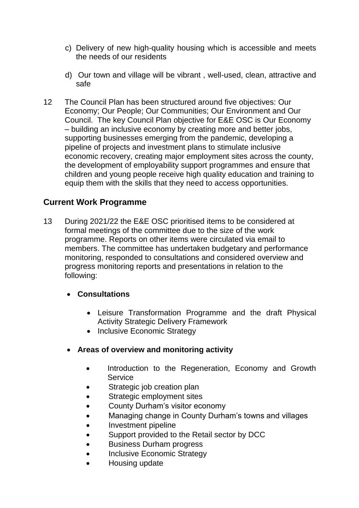- c) Delivery of new high-quality housing which is accessible and meets the needs of our residents
- d) Our town and village will be vibrant , well-used, clean, attractive and safe
- 12 The Council Plan has been structured around five objectives: Our Economy; Our People; Our Communities; Our Environment and Our Council. The key Council Plan objective for E&E OSC is Our Economy – building an inclusive economy by creating more and better jobs, supporting businesses emerging from the pandemic, developing a pipeline of projects and investment plans to stimulate inclusive economic recovery, creating major employment sites across the county, the development of employability support programmes and ensure that children and young people receive high quality education and training to equip them with the skills that they need to access opportunities.

# **Current Work Programme**

13 During 2021/22 the E&E OSC prioritised items to be considered at formal meetings of the committee due to the size of the work programme. Reports on other items were circulated via email to members. The committee has undertaken budgetary and performance monitoring, responded to consultations and considered overview and progress monitoring reports and presentations in relation to the following:

### **Consultations**

- Leisure Transformation Programme and the draft Physical Activity Strategic Delivery Framework
- Inclusive Economic Strategy
- **Areas of overview and monitoring activity**
	- Introduction to the Regeneration, Economy and Growth **Service**
	- Strategic job creation plan
	- Strategic employment sites
	- County Durham's visitor economy
	- Managing change in County Durham's towns and villages
	- Investment pipeline
	- Support provided to the Retail sector by DCC
	- **•** Business Durham progress
	- Inclusive Economic Strategy
	- Housing update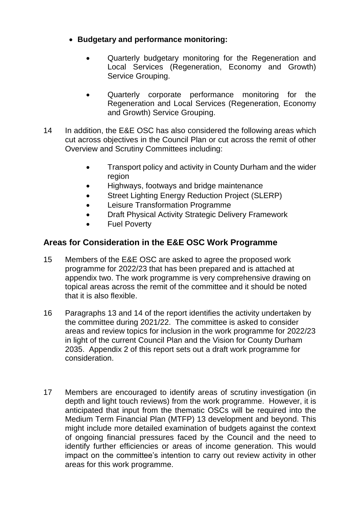- **Budgetary and performance monitoring:**
	- Quarterly budgetary monitoring for the Regeneration and Local Services (Regeneration, Economy and Growth) Service Grouping.
	- Quarterly corporate performance monitoring for the Regeneration and Local Services (Regeneration, Economy and Growth) Service Grouping.
- 14 In addition, the E&E OSC has also considered the following areas which cut across objectives in the Council Plan or cut across the remit of other Overview and Scrutiny Committees including:
	- Transport policy and activity in County Durham and the wider region
	- Highways, footways and bridge maintenance
	- Street Lighting Energy Reduction Project (SLERP)
	- Leisure Transformation Programme
	- Draft Physical Activity Strategic Delivery Framework
	- Fuel Poverty

# **Areas for Consideration in the E&E OSC Work Programme**

- 15 Members of the E&E OSC are asked to agree the proposed work programme for 2022/23 that has been prepared and is attached at appendix two. The work programme is very comprehensive drawing on topical areas across the remit of the committee and it should be noted that it is also flexible.
- 16 Paragraphs 13 and 14 of the report identifies the activity undertaken by the committee during 2021/22. The committee is asked to consider areas and review topics for inclusion in the work programme for 2022/23 in light of the current Council Plan and the Vision for County Durham 2035. Appendix 2 of this report sets out a draft work programme for consideration.
- 17 Members are encouraged to identify areas of scrutiny investigation (in depth and light touch reviews) from the work programme. However, it is anticipated that input from the thematic OSCs will be required into the Medium Term Financial Plan (MTFP) 13 development and beyond. This might include more detailed examination of budgets against the context of ongoing financial pressures faced by the Council and the need to identify further efficiencies or areas of income generation. This would impact on the committee's intention to carry out review activity in other areas for this work programme.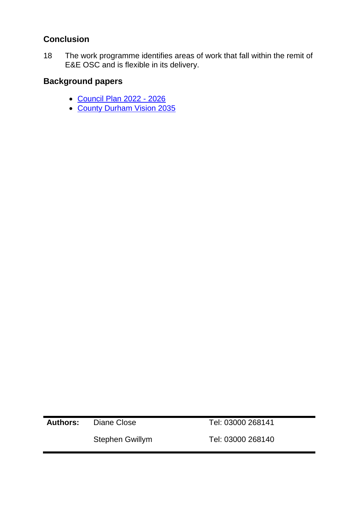# **Conclusion**

18 The work programme identifies areas of work that fall within the remit of E&E OSC and is flexible in its delivery.

# **Background papers**

- [Council Plan 2022 -](https://democracy.durham.gov.uk/documents/s158218/Council%20Plan%202022-26%20Appendix%202.pdf) 2026
- [County Durham Vision 2035](https://countydurhampartnership.co.uk/county-durham-partnership/county-durham-vision-2035/)

**Authors:** Diane Close Tel: 03000 268141

Stephen Gwillym [Tel: 03000](Tel:03000) 268140